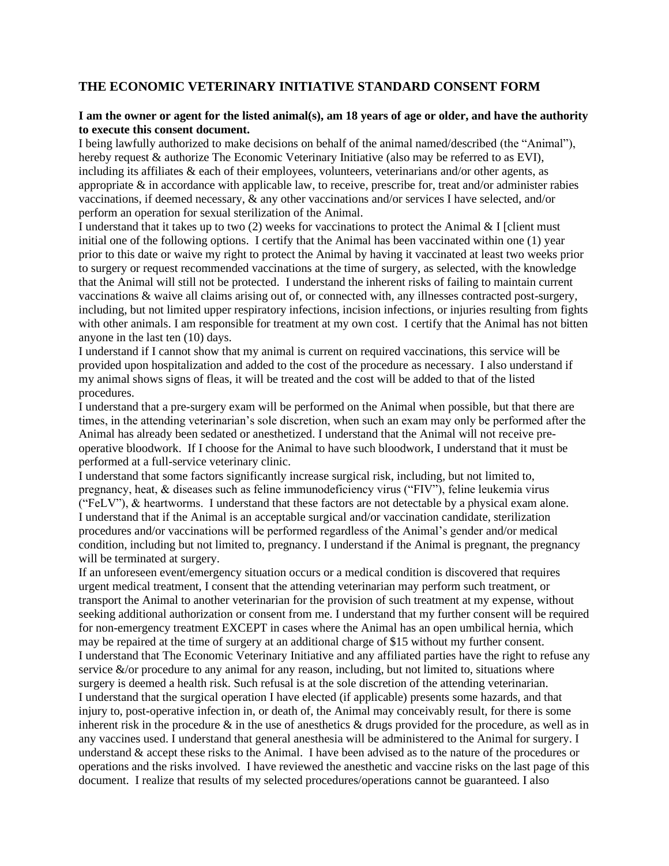## **THE ECONOMIC VETERINARY INITIATIVE STANDARD CONSENT FORM**

## **I am the owner or agent for the listed animal(s), am 18 years of age or older, and have the authority to execute this consent document.**

I being lawfully authorized to make decisions on behalf of the animal named/described (the "Animal"), hereby request & authorize The Economic Veterinary Initiative (also may be referred to as EVI), including its affiliates & each of their employees, volunteers, veterinarians and/or other agents, as appropriate & in accordance with applicable law, to receive, prescribe for, treat and/or administer rabies vaccinations, if deemed necessary, & any other vaccinations and/or services I have selected, and/or perform an operation for sexual sterilization of the Animal.

I understand that it takes up to two  $(2)$  weeks for vaccinations to protect the Animal & I [client must] initial one of the following options. I certify that the Animal has been vaccinated within one (1) year prior to this date or waive my right to protect the Animal by having it vaccinated at least two weeks prior to surgery or request recommended vaccinations at the time of surgery, as selected, with the knowledge that the Animal will still not be protected. I understand the inherent risks of failing to maintain current vaccinations & waive all claims arising out of, or connected with, any illnesses contracted post-surgery, including, but not limited upper respiratory infections, incision infections, or injuries resulting from fights with other animals. I am responsible for treatment at my own cost. I certify that the Animal has not bitten anyone in the last ten (10) days.

I understand if I cannot show that my animal is current on required vaccinations, this service will be provided upon hospitalization and added to the cost of the procedure as necessary. I also understand if my animal shows signs of fleas, it will be treated and the cost will be added to that of the listed procedures.

I understand that a pre-surgery exam will be performed on the Animal when possible, but that there are times, in the attending veterinarian's sole discretion, when such an exam may only be performed after the Animal has already been sedated or anesthetized. I understand that the Animal will not receive preoperative bloodwork. If I choose for the Animal to have such bloodwork, I understand that it must be performed at a full-service veterinary clinic.

I understand that some factors significantly increase surgical risk, including, but not limited to, pregnancy, heat, & diseases such as feline immunodeficiency virus ("FIV"), feline leukemia virus ("FeLV"), & heartworms. I understand that these factors are not detectable by a physical exam alone. I understand that if the Animal is an acceptable surgical and/or vaccination candidate, sterilization procedures and/or vaccinations will be performed regardless of the Animal's gender and/or medical condition, including but not limited to, pregnancy. I understand if the Animal is pregnant, the pregnancy will be terminated at surgery.

If an unforeseen event/emergency situation occurs or a medical condition is discovered that requires urgent medical treatment, I consent that the attending veterinarian may perform such treatment, or transport the Animal to another veterinarian for the provision of such treatment at my expense, without seeking additional authorization or consent from me. I understand that my further consent will be required for non-emergency treatment EXCEPT in cases where the Animal has an open umbilical hernia, which may be repaired at the time of surgery at an additional charge of \$15 without my further consent. I understand that The Economic Veterinary Initiative and any affiliated parties have the right to refuse any service  $\&$ /or procedure to any animal for any reason, including, but not limited to, situations where surgery is deemed a health risk. Such refusal is at the sole discretion of the attending veterinarian. I understand that the surgical operation I have elected (if applicable) presents some hazards, and that injury to, post-operative infection in, or death of, the Animal may conceivably result, for there is some inherent risk in the procedure  $\&$  in the use of anesthetics  $\&$  drugs provided for the procedure, as well as in any vaccines used. I understand that general anesthesia will be administered to the Animal for surgery. I understand & accept these risks to the Animal. I have been advised as to the nature of the procedures or operations and the risks involved. I have reviewed the anesthetic and vaccine risks on the last page of this document. I realize that results of my selected procedures/operations cannot be guaranteed. I also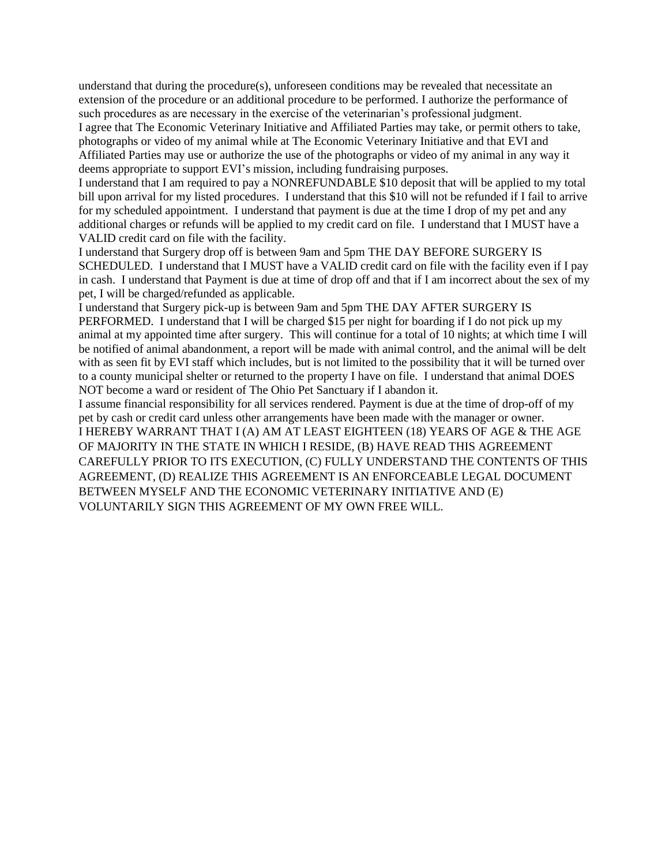understand that during the procedure(s), unforeseen conditions may be revealed that necessitate an extension of the procedure or an additional procedure to be performed. I authorize the performance of such procedures as are necessary in the exercise of the veterinarian's professional judgment. I agree that The Economic Veterinary Initiative and Affiliated Parties may take, or permit others to take,

photographs or video of my animal while at The Economic Veterinary Initiative and that EVI and Affiliated Parties may use or authorize the use of the photographs or video of my animal in any way it deems appropriate to support EVI's mission, including fundraising purposes.

I understand that I am required to pay a NONREFUNDABLE \$10 deposit that will be applied to my total bill upon arrival for my listed procedures. I understand that this \$10 will not be refunded if I fail to arrive for my scheduled appointment. I understand that payment is due at the time I drop of my pet and any additional charges or refunds will be applied to my credit card on file. I understand that I MUST have a VALID credit card on file with the facility.

I understand that Surgery drop off is between 9am and 5pm THE DAY BEFORE SURGERY IS SCHEDULED. I understand that I MUST have a VALID credit card on file with the facility even if I pay in cash. I understand that Payment is due at time of drop off and that if I am incorrect about the sex of my pet, I will be charged/refunded as applicable.

I understand that Surgery pick-up is between 9am and 5pm THE DAY AFTER SURGERY IS PERFORMED. I understand that I will be charged \$15 per night for boarding if I do not pick up my animal at my appointed time after surgery. This will continue for a total of 10 nights; at which time I will be notified of animal abandonment, a report will be made with animal control, and the animal will be delt with as seen fit by EVI staff which includes, but is not limited to the possibility that it will be turned over to a county municipal shelter or returned to the property I have on file. I understand that animal DOES NOT become a ward or resident of The Ohio Pet Sanctuary if I abandon it.

I assume financial responsibility for all services rendered. Payment is due at the time of drop-off of my pet by cash or credit card unless other arrangements have been made with the manager or owner. I HEREBY WARRANT THAT I (A) AM AT LEAST EIGHTEEN (18) YEARS OF AGE & THE AGE OF MAJORITY IN THE STATE IN WHICH I RESIDE, (B) HAVE READ THIS AGREEMENT CAREFULLY PRIOR TO ITS EXECUTION, (C) FULLY UNDERSTAND THE CONTENTS OF THIS AGREEMENT, (D) REALIZE THIS AGREEMENT IS AN ENFORCEABLE LEGAL DOCUMENT BETWEEN MYSELF AND THE ECONOMIC VETERINARY INITIATIVE AND (E) VOLUNTARILY SIGN THIS AGREEMENT OF MY OWN FREE WILL.